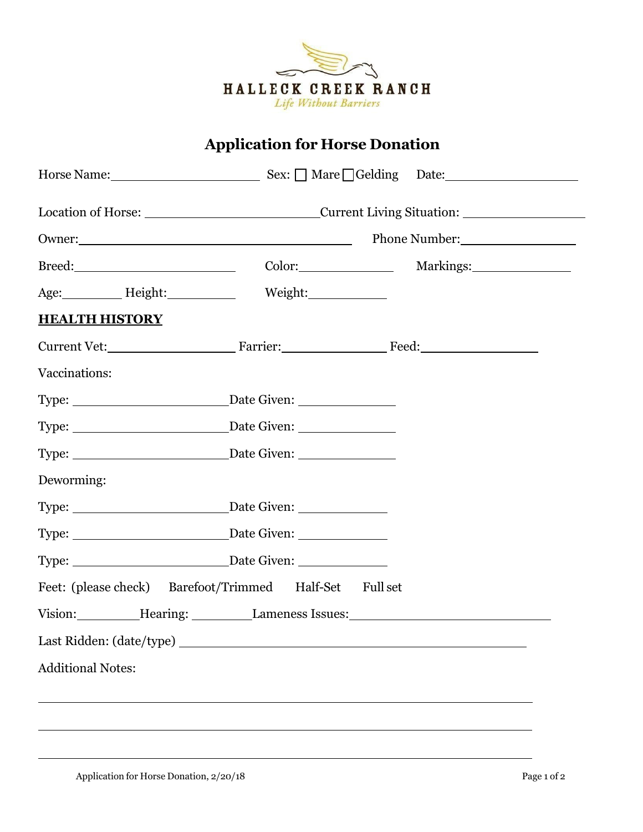

## **Application for Horse Donation**

|                                                         |               | Horse Name: Sex: Mare Gelding Date:                                                                                                                                                                                            |  |  |
|---------------------------------------------------------|---------------|--------------------------------------------------------------------------------------------------------------------------------------------------------------------------------------------------------------------------------|--|--|
|                                                         |               | Location of Horse: _______________________________Current Living Situation: ________________________                                                                                                                           |  |  |
| Owner:                                                  | Phone Number: |                                                                                                                                                                                                                                |  |  |
|                                                         |               |                                                                                                                                                                                                                                |  |  |
| Age: Height: Weight: Weight:                            |               |                                                                                                                                                                                                                                |  |  |
| <b>HEALTH HISTORY</b>                                   |               |                                                                                                                                                                                                                                |  |  |
| Current Vet: Farrier: Farrier: Feed:                    |               |                                                                                                                                                                                                                                |  |  |
| Vaccinations:                                           |               |                                                                                                                                                                                                                                |  |  |
|                                                         |               |                                                                                                                                                                                                                                |  |  |
|                                                         |               |                                                                                                                                                                                                                                |  |  |
|                                                         |               |                                                                                                                                                                                                                                |  |  |
| Deworming:                                              |               |                                                                                                                                                                                                                                |  |  |
|                                                         |               |                                                                                                                                                                                                                                |  |  |
|                                                         |               |                                                                                                                                                                                                                                |  |  |
|                                                         |               |                                                                                                                                                                                                                                |  |  |
| Feet: (please check) Barefoot/Trimmed Half-Set Full set |               |                                                                                                                                                                                                                                |  |  |
|                                                         |               | Vision: Hearing: Lameness Issues: Manual Assues: Manual Assues: Manual Assues: Manual Assues: Manual Assues: Manual Assues: Manual Assues: Manual Assues: Manual Assues: Manual Assues: Manual Assues: Manual Assues: Manual A |  |  |
|                                                         |               |                                                                                                                                                                                                                                |  |  |
| <b>Additional Notes:</b>                                |               |                                                                                                                                                                                                                                |  |  |
|                                                         |               |                                                                                                                                                                                                                                |  |  |
|                                                         |               |                                                                                                                                                                                                                                |  |  |
|                                                         |               |                                                                                                                                                                                                                                |  |  |